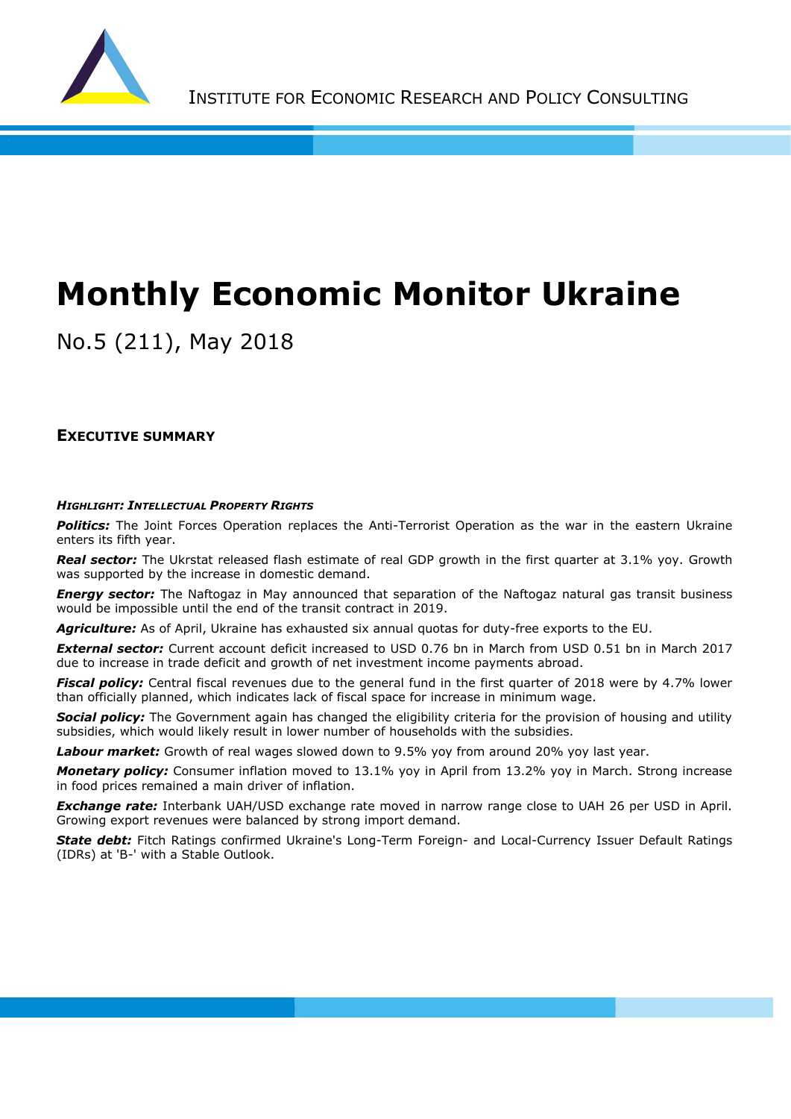

# **Monthly Economic Monitor Ukraine**

No.5 (211), May 2018

# **EXECUTIVE SUMMARY**

#### *HIGHLIGHT: INTELLECTUAL PROPERTY RIGHTS*

*Politics:* The Joint Forces Operation replaces the Anti-Terrorist Operation as the war in the eastern Ukraine enters its fifth year.

*Real sector:* The Ukrstat released flash estimate of real GDP growth in the first quarter at 3.1% yoy. Growth was supported by the increase in domestic demand.

*Energy sector:* The Naftogaz in May announced that separation of the Naftogaz natural gas transit business would be impossible until the end of the transit contract in 2019.

*Agriculture:* As of April, Ukraine has exhausted six annual quotas for duty-free exports to the EU.

*External sector:* Current account deficit increased to USD 0.76 bn in March from USD 0.51 bn in March 2017 due to increase in trade deficit and growth of net investment income payments abroad.

*Fiscal policy:* Central fiscal revenues due to the general fund in the first quarter of 2018 were by 4.7% lower than officially planned, which indicates lack of fiscal space for increase in minimum wage.

*Social policy:* The Government again has changed the eligibility criteria for the provision of housing and utility subsidies, which would likely result in lower number of households with the subsidies.

**Labour market:** Growth of real wages slowed down to 9.5% yoy from around 20% yoy last year.

*Monetary policy:* Consumer inflation moved to 13.1% yoy in April from 13.2% yoy in March. Strong increase in food prices remained a main driver of inflation.

*Exchange rate:* Interbank UAH/USD exchange rate moved in narrow range close to UAH 26 per USD in April. Growing export revenues were balanced by strong import demand.

*State debt:* Fitch Ratings confirmed Ukraine's Long-Term Foreign- and Local-Currency Issuer Default Ratings (IDRs) at 'B-' with a Stable Outlook.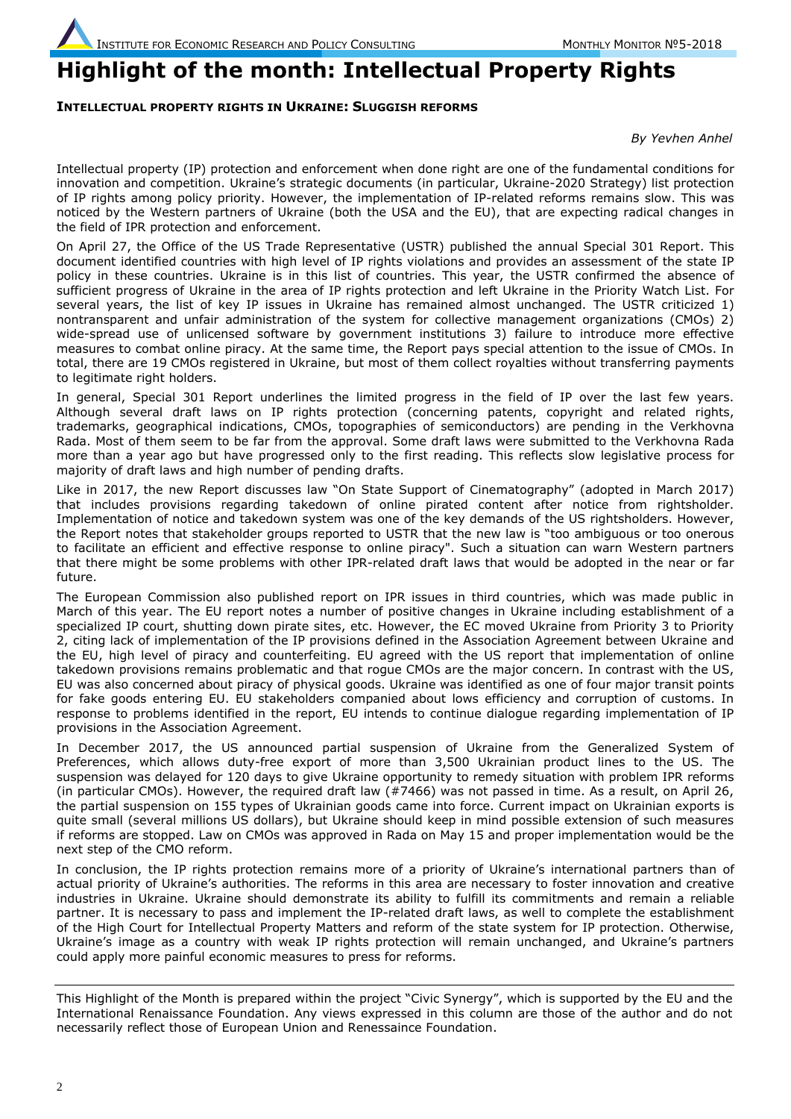# **Highlight of the month: Intellectual Property Rights**

#### **INTELLECTUAL PROPERTY RIGHTS IN UKRAINE: SLUGGISH REFORMS**

*By Yevhen Anhel*

Intellectual property (IP) protection and enforcement when done right are one of the fundamental conditions for innovation and competition. Ukraine's strategic documents (in particular, Ukraine-2020 Strategy) list protection of IP rights among policy priority. However, the implementation of IP-related reforms remains slow. This was noticed by the Western partners of Ukraine (both the USA and the EU), that are expecting radical changes in the field of IPR protection and enforcement.

On April 27, the Office of the US Trade Representative (USTR) published the annual Special 301 Report. This document identified countries with high level of IP rights violations and provides an assessment of the state IP policy in these countries. Ukraine is in this list of countries. This year, the USTR confirmed the absence of sufficient progress of Ukraine in the area of IP rights protection and left Ukraine in the Priority Watch List. For several years, the list of key IP issues in Ukraine has remained almost unchanged. The USTR criticized 1) nontransparent and unfair administration of the system for collective management organizations (CMOs) 2) wide-spread use of unlicensed software by government institutions 3) failure to introduce more effective measures to combat online piracy. At the same time, the Report pays special attention to the issue of CMOs. In total, there are 19 CMOs registered in Ukraine, but most of them collect royalties without transferring payments to legitimate right holders.

In general, Special 301 Report underlines the limited progress in the field of IP over the last few years. Although several draft laws on IP rights protection (concerning patents, copyright and related rights, trademarks, geographical indications, CMOs, topographies of semiconductors) are pending in the Verkhovna Rada. Most of them seem to be far from the approval. Some draft laws were submitted to the Verkhovna Rada more than a year ago but have progressed only to the first reading. This reflects slow legislative process for majority of draft laws and high number of pending drafts.

Like in 2017, the new Report discusses law "On State Support of Cinematography" (adopted in March 2017) that includes provisions regarding takedown of online pirated content after notice from rightsholder. Implementation of notice and takedown system was one of the key demands of the US rightsholders. However, the Report notes that stakeholder groups reported to USTR that the new law is "too ambiguous or too onerous to facilitate an efficient and effective response to online piracy". Such a situation can warn Western partners that there might be some problems with other IPR-related draft laws that would be adopted in the near or far future.

The European Commission also published report on IPR issues in third countries, which was made public in March of this year. The EU report notes a number of positive changes in Ukraine including establishment of a specialized IP court, shutting down pirate sites, etc. However, the EC moved Ukraine from Priority 3 to Priority 2, citing lack of implementation of the IP provisions defined in the Association Agreement between Ukraine and the EU, high level of piracy and counterfeiting. EU agreed with the US report that implementation of online takedown provisions remains problematic and that rogue CMOs are the major concern. In contrast with the US, EU was also concerned about piracy of physical goods. Ukraine was identified as one of four major transit points for fake goods entering EU. EU stakeholders companied about lows efficiency and corruption of customs. In response to problems identified in the report, EU intends to continue dialogue regarding implementation of IP provisions in the Association Agreement.

In December 2017, the US announced partial suspension of Ukraine from the Generalized System of Preferences, which allows duty-free export of more than 3,500 Ukrainian product lines to the US. The suspension was delayed for 120 days to give Ukraine opportunity to remedy situation with problem IPR reforms (in particular CMOs). However, the required draft law (#7466) was not passed in time. As a result, on April 26, the partial suspension on 155 types of Ukrainian goods came into force. Current impact on Ukrainian exports is quite small (several millions US dollars), but Ukraine should keep in mind possible extension of such measures if reforms are stopped. Law on CMOs was approved in Rada on May 15 and proper implementation would be the next step of the CMO reform.

In conclusion, the IP rights protection remains more of a priority of Ukraine's international partners than of actual priority of Ukraine's authorities. The reforms in this area are necessary to foster innovation and creative industries in Ukraine. Ukraine should demonstrate its ability to fulfill its commitments and remain a reliable partner. It is necessary to pass and implement the IP-related draft laws, as well to complete the establishment of the High Court for Intellectual Property Matters and reform of the state system for IP protection. Otherwise, Ukraine's image as a country with weak IP rights protection will remain unchanged, and Ukraine's partners could apply more painful economic measures to press for reforms.

This Highlight of the Month is prepared within the project "Civic Synergy", which is supported by the EU and the International Renaissance Foundation. Any views expressed in this column are those of the author and do not necessarily reflect those of European Union and Renessaince Foundation.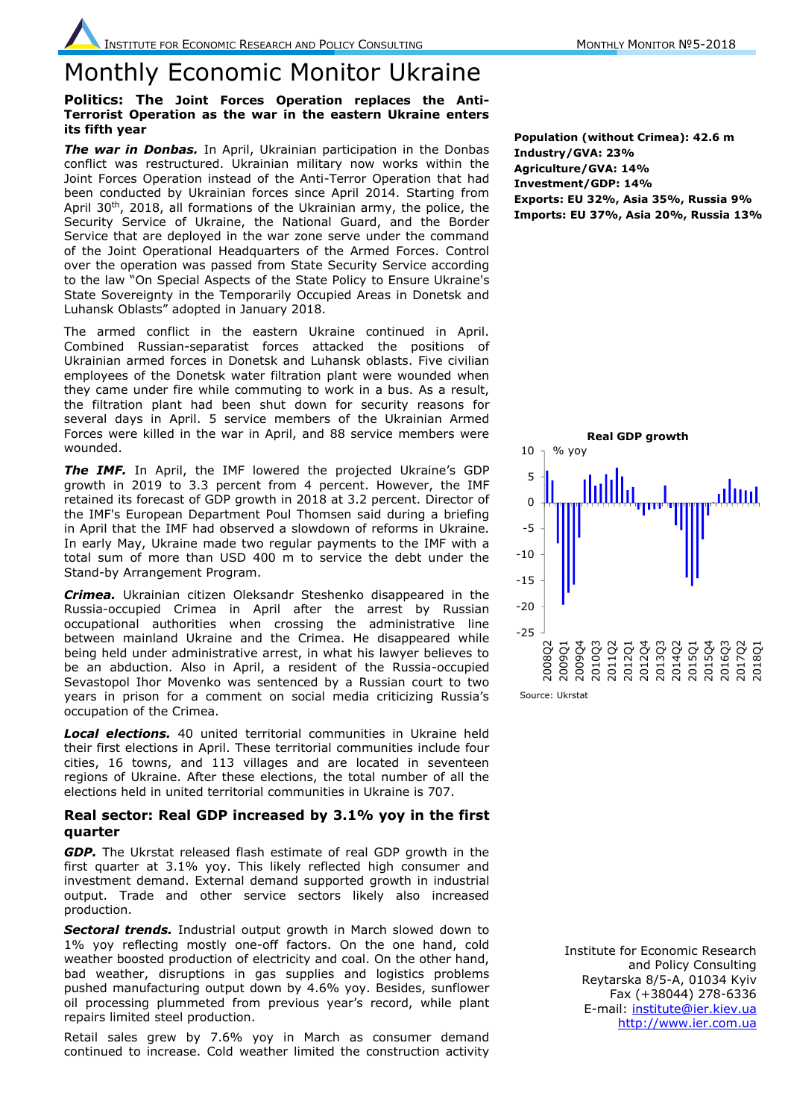# Monthly Economic Monitor Ukraine

#### **Politics: The Joint Forces Operation replaces the Anti-Terrorist Operation as the war in the eastern Ukraine enters its fifth year**

**The war in Donbas.** In April, Ukrainian participation in the Donbas conflict was restructured. Ukrainian military now works within the Joint Forces Operation instead of the Anti-Terror Operation that had been conducted by Ukrainian forces since April 2014. Starting from April 30<sup>th</sup>, 2018, all formations of the Ukrainian army, the police, the Security Service of Ukraine, the National Guard, and the Border Service that are deployed in the war zone serve under the command of the Joint Operational Headquarters of the Armed Forces. Control over the operation was passed from State Security Service according to the law "On Special Aspects of the State Policy to Ensure Ukraine's State Sovereignty in the Temporarily Occupied Areas in Donetsk and Luhansk Oblasts" adopted in January 2018.

The armed conflict in the eastern Ukraine continued in April. Combined Russian-separatist forces attacked the positions of Ukrainian armed forces in Donetsk and Luhansk oblasts. Five civilian employees of the Donetsk water filtration plant were wounded when they came under fire while commuting to work in a bus. As a result, the filtration plant had been shut down for security reasons for several days in April. 5 service members of the Ukrainian Armed Forces were killed in the war in April, and 88 service members were wounded.

*The IMF.* In April, the IMF lowered the projected Ukraine's GDP growth in 2019 to 3.3 percent from 4 percent. However, the IMF retained its forecast of GDP growth in 2018 at 3.2 percent. Director of the IMF's European Department Poul Thomsen said during a briefing in April that the IMF had observed a slowdown of reforms in Ukraine. In early May, Ukraine made two regular payments to the IMF with a total sum of more than USD 400 m to service the debt under the Stand-by Arrangement Program.

*Crimea.* Ukrainian citizen Oleksandr Steshenko disappeared in the Russia-occupied Crimea in April after the arrest by Russian occupational authorities when crossing the administrative line between mainland Ukraine and the Crimea. He disappeared while being held under administrative arrest, in what his lawyer believes to be an abduction. Also in April, a resident of the Russia-occupied Sevastopol Ihor Movenko was sentenced by a Russian court to two years in prison for a comment on social media criticizing Russia's occupation of the Crimea.

*Local elections.* 40 united territorial communities in Ukraine held their first elections in April. These territorial communities include four cities, 16 towns, and 113 villages and are located in seventeen regions of Ukraine. After these elections, the total number of all the elections held in united territorial communities in Ukraine is 707.

#### **Real sector: Real GDP increased by 3.1% yoy in the first quarter**

*GDP.* The Ukrstat released flash estimate of real GDP growth in the first quarter at 3.1% yoy. This likely reflected high consumer and investment demand. External demand supported growth in industrial output. Trade and other service sectors likely also increased production.

*Sectoral trends.* Industrial output growth in March slowed down to 1% yoy reflecting mostly one-off factors. On the one hand, cold weather boosted production of electricity and coal. On the other hand, bad weather, disruptions in gas supplies and logistics problems pushed manufacturing output down by 4.6% yoy. Besides, sunflower oil processing plummeted from previous year's record, while plant repairs limited steel production.

Retail sales grew by 7.6% yoy in March as consumer demand continued to increase. Cold weather limited the construction activity

**Population (without Crimea): 42.6 m Industry/GVA: 23% Agriculture/GVA: 14% Investment/GDP: 14% Exports: EU 32%, Asia 35%, Russia 9% Imports: EU 37%, Asia 20%, Russia 13%**



Institute for Economic Research and Policy Consulting Reytarska 8/5-A, 01034 Kyiv Fax (+38044) 278-6336 E-mail: [institute@ier.kiev.ua](mailto:institute@ier.kiev.ua) [http://www.ier.com.ua](http://www.ier.com.ua/)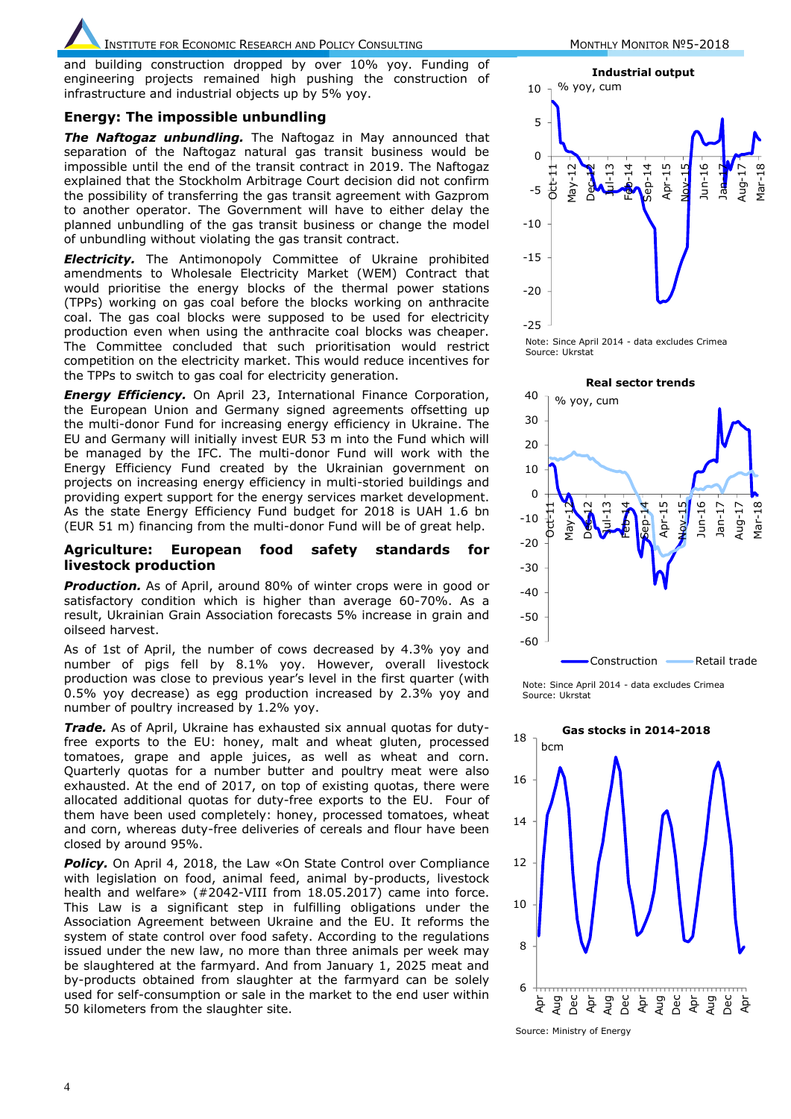and building construction dropped by over 10% yoy. Funding of engineering projects remained high pushing the construction of infrastructure and industrial objects up by 5% yoy.

#### **Energy: The impossible unbundling**

*The Naftogaz unbundling.* The Naftogaz in May announced that separation of the Naftogaz natural gas transit business would be impossible until the end of the transit contract in 2019. The Naftogaz explained that the Stockholm Arbitrage Court decision did not confirm the possibility of transferring the gas transit agreement with Gazprom to another operator. The Government will have to either delay the planned unbundling of the gas transit business or change the model of unbundling without violating the gas transit contract.

*Electricity.* The Antimonopoly Committee of Ukraine prohibited amendments to Wholesale Electricity Market (WEM) Contract that would prioritise the energy blocks of the thermal power stations (TPPs) working on gas coal before the blocks working on anthracite coal. The gas coal blocks were supposed to be used for electricity production even when using the anthracite coal blocks was cheaper. The Committee concluded that such prioritisation would restrict competition on the electricity market. This would reduce incentives for the TPPs to switch to gas coal for electricity generation.

*Energy Efficiency.* On April 23, International Finance Corporation, the European Union and Germany signed agreements offsetting up the multi-donor Fund for increasing energy efficiency in Ukraine. The EU and Germany will initially invest EUR 53 m into the Fund which will be managed by the IFC. The multi-donor Fund will work with the Energy Efficiency Fund created by the Ukrainian government on projects on increasing energy efficiency in multi-storied buildings and providing expert support for the energy services market development. As the state Energy Efficiency Fund budget for 2018 is UAH 1.6 bn (EUR 51 m) financing from the multi-donor Fund will be of great help.

#### **Agriculture: European food safety standards for livestock production**

**Production.** As of April, around 80% of winter crops were in good or satisfactory condition which is higher than average 60-70%. As a result, Ukrainian Grain Association forecasts 5% increase in grain and oilseed harvest.

As of 1st of April, the number of cows decreased by 4.3% yoy and number of pigs fell by 8.1% yoy. However, overall livestock production was close to previous year's level in the first quarter (with 0.5% yoy decrease) as egg production increased by 2.3% yoy and number of poultry increased by 1.2% yoy.

*Trade.* As of April, Ukraine has exhausted six annual quotas for dutyfree exports to the EU: honey, malt and wheat gluten, processed tomatoes, grape and apple juices, as well as wheat and corn. Quarterly quotas for a number butter and poultry meat were also exhausted. At the end of 2017, on top of existing quotas, there were allocated additional quotas for duty-free exports to the EU. Four of them have been used completely: honey, processed tomatoes, wheat and corn, whereas duty-free deliveries of cereals and flour have been closed by around 95%.

**Policy.** On April 4, 2018, the Law «On State Control over Compliance with legislation on food, animal feed, animal by-products, livestock health and welfare» (#2042-VIII from 18.05.2017) came into force. This Law is a significant step in fulfilling obligations under the Association Agreement between Ukraine and the EU. It reforms the system of state control over food safety. According to the regulations issued under the new law, no more than three animals per week may be slaughtered at the farmyard. And from January 1, 2025 meat and by-products obtained from slaughter at the farmyard can be solely used for self-consumption or sale in the market to the end user within 50 kilometers from the slaughter site.







Note: Since April 2014 - data excludes Crimea Source: Ukrstat



Source: Ministry of Energy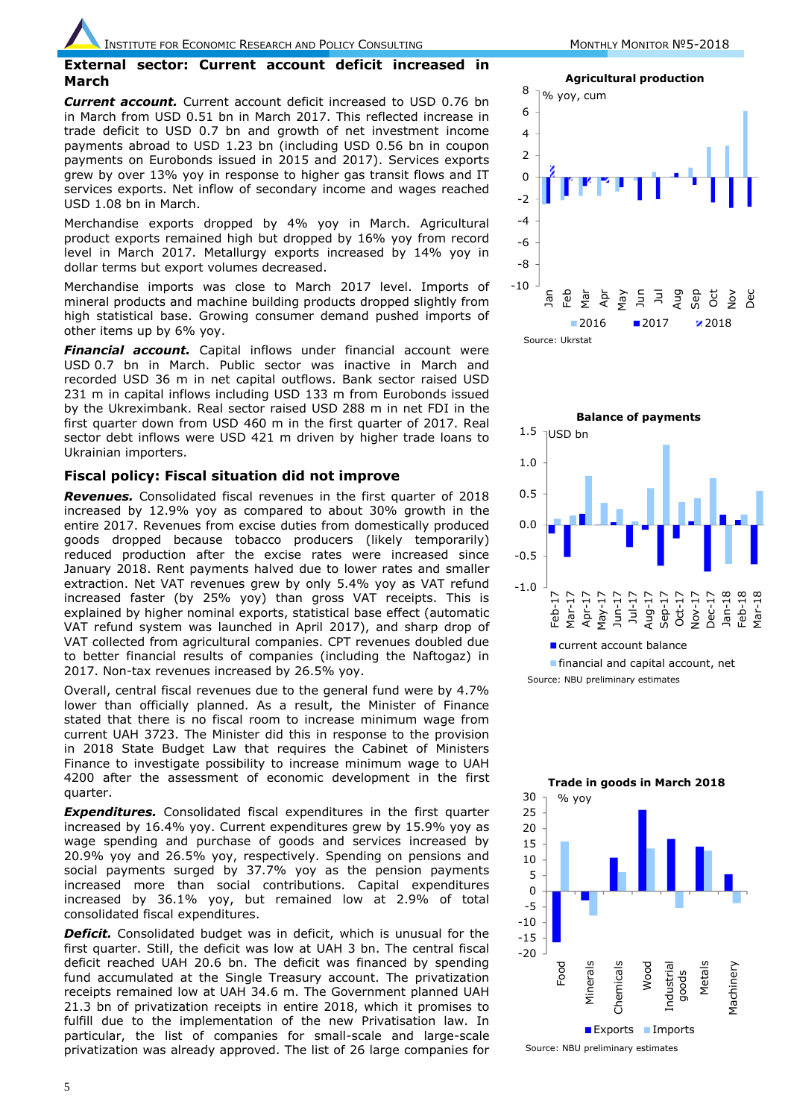#### **External sector: Current account deficit increased in March**

*Current account.* Current account deficit increased to USD 0.76 bn in March from USD 0.51 bn in March 2017. This reflected increase in trade deficit to USD 0.7 bn and growth of net investment income payments abroad to USD 1.23 bn (including USD 0.56 bn in coupon payments on Eurobonds issued in 2015 and 2017). Services exports grew by over 13% yoy in response to higher gas transit flows and IT services exports. Net inflow of secondary income and wages reached USD 1.08 bn in March.

Merchandise exports dropped by 4% yoy in March. Agricultural product exports remained high but dropped by 16% yoy from record level in March 2017. Metallurgy exports increased by 14% yoy in dollar terms but export volumes decreased.

Merchandise imports was close to March 2017 level. Imports of mineral products and machine building products dropped slightly from high statistical base. Growing consumer demand pushed imports of other items up by 6% yoy.

**Financial account.** Capital inflows under financial account were USD 0.7 bn in March. Public sector was inactive in March and recorded USD 36 m in net capital outflows. Bank sector raised USD 231 m in capital inflows including USD 133 m from Eurobonds issued by the Ukreximbank. Real sector raised USD 288 m in net FDI in the first quarter down from USD 460 m in the first quarter of 2017. Real sector debt inflows were USD 421 m driven by higher trade loans to Ukrainian importers.

#### **Fiscal policy: Fiscal situation did not improve**

*Revenues.* Consolidated fiscal revenues in the first quarter of 2018 increased by 12.9% yoy as compared to about 30% growth in the entire 2017. Revenues from excise duties from domestically produced goods dropped because tobacco producers (likely temporarily) reduced production after the excise rates were increased since January 2018. Rent payments halved due to lower rates and smaller extraction. Net VAT revenues grew by only 5.4% yoy as VAT refund increased faster (by 25% yoy) than gross VAT receipts. This is explained by higher nominal exports, statistical base effect (automatic VAT refund system was launched in April 2017), and sharp drop of VAT collected from agricultural companies. CPT revenues doubled due to better financial results of companies (including the Naftogaz) in 2017. Non-tax revenues increased by 26.5% yoy.

Overall, central fiscal revenues due to the general fund were by 4.7% lower than officially planned. As a result, the Minister of Finance stated that there is no fiscal room to increase minimum wage from current UAH 3723. The Minister did this in response to the provision in 2018 State Budget Law that requires the Cabinet of Ministers Finance to investigate possibility to increase minimum wage to UAH 4200 after the assessment of economic development in the first quarter.

*Expenditures.* Consolidated fiscal expenditures in the first quarter increased by 16.4% yoy. Current expenditures grew by 15.9% yoy as wage spending and purchase of goods and services increased by 20.9% yoy and 26.5% yoy, respectively. Spending on pensions and social payments surged by 37.7% yoy as the pension payments increased more than social contributions. Capital expenditures increased by 36.1% yoy, but remained low at 2.9% of total consolidated fiscal expenditures.

**Deficit.** Consolidated budget was in deficit, which is unusual for the first quarter. Still, the deficit was low at UAH 3 bn. The central fiscal deficit reached UAH 20.6 bn. The deficit was financed by spending fund accumulated at the Single Treasury account. The privatization receipts remained low at UAH 34.6 m. The Government planned UAH 21.3 bn of privatization receipts in entire 2018, which it promises to fulfill due to the implementation of the new Privatisation law. In particular, the list of companies for small-scale and large-scale privatization was already approved. The list of 26 large companies for





current account balance **financial and capital account, net** 

Source: NBU preliminary estimates



Source: NBU preliminary estimates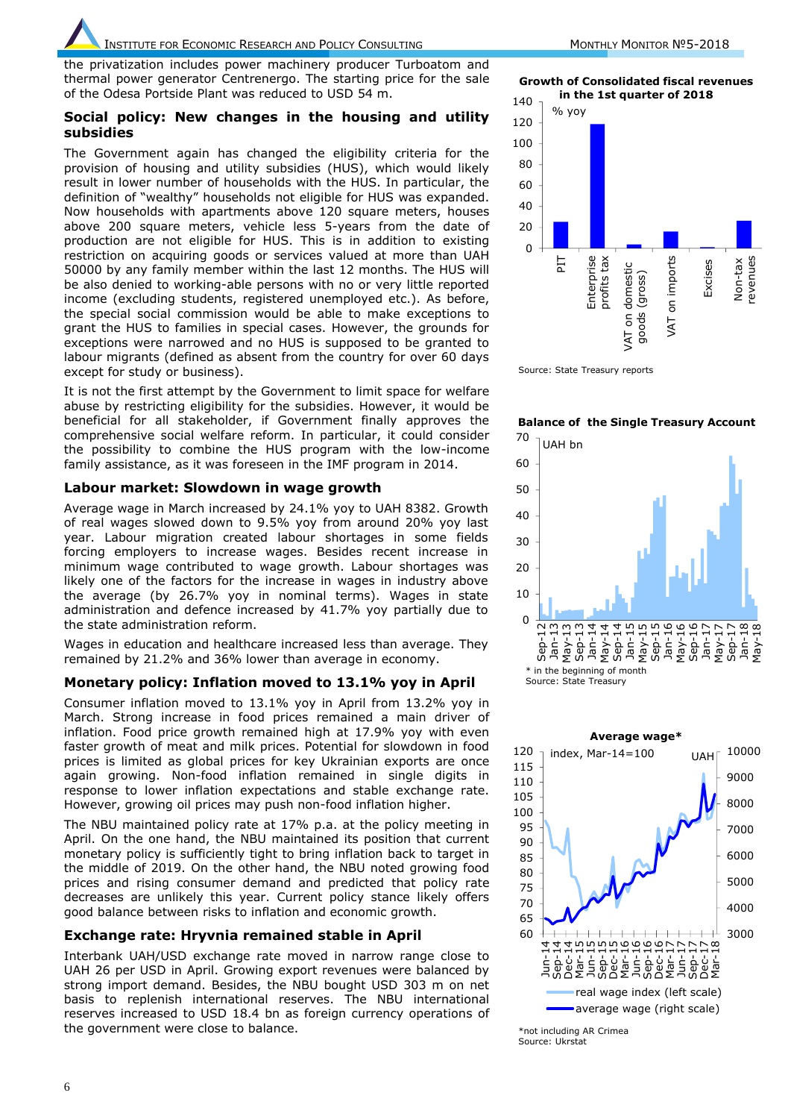the privatization includes power machinery producer Turboatom and thermal power generator Centrenergo. The starting price for the sale of the Odesa Portside Plant was reduced to USD 54 m.

#### **Social policy: New changes in the housing and utility subsidies**

The Government again has changed the eligibility criteria for the provision of housing and utility subsidies (HUS), which would likely result in lower number of households with the HUS. In particular, the definition of "wealthy" households not eligible for HUS was expanded. Now households with apartments above 120 square meters, houses above 200 square meters, vehicle less 5-years from the date of production are not eligible for HUS. This is in addition to existing restriction on acquiring goods or services valued at more than UAH 50000 by any family member within the last 12 months. The HUS will be also denied to working-able persons with no or very little reported income (excluding students, registered unemployed etc.). As before, the special social commission would be able to make exceptions to grant the HUS to families in special cases. However, the grounds for exceptions were narrowed and no HUS is supposed to be granted to labour migrants (defined as absent from the country for over 60 days except for study or business).

It is not the first attempt by the Government to limit space for welfare abuse by restricting eligibility for the subsidies. However, it would be beneficial for all stakeholder, if Government finally approves the comprehensive social welfare reform. In particular, it could consider the possibility to combine the HUS program with the low-income family assistance, as it was foreseen in the IMF program in 2014.

#### **Labour market: Slowdown in wage growth**

Average wage in March increased by 24.1% yoy to UAH 8382. Growth of real wages slowed down to 9.5% yoy from around 20% yoy last year. Labour migration created labour shortages in some fields forcing employers to increase wages. Besides recent increase in minimum wage contributed to wage growth. Labour shortages was likely one of the factors for the increase in wages in industry above the average (by 26.7% yoy in nominal terms). Wages in state administration and defence increased by 41.7% yoy partially due to the state administration reform.

Wages in education and healthcare increased less than average. They remained by 21.2% and 36% lower than average in economy.

#### **Monetary policy: Inflation moved to 13.1% yoy in April**

Consumer inflation moved to 13.1% yoy in April from 13.2% yoy in March. Strong increase in food prices remained a main driver of inflation. Food price growth remained high at 17.9% yoy with even faster growth of meat and milk prices. Potential for slowdown in food prices is limited as global prices for key Ukrainian exports are once again growing. Non-food inflation remained in single digits in response to lower inflation expectations and stable exchange rate. However, growing oil prices may push non-food inflation higher.

The NBU maintained policy rate at 17% p.a. at the policy meeting in April. On the one hand, the NBU maintained its position that current monetary policy is sufficiently tight to bring inflation back to target in the middle of 2019. On the other hand, the NBU noted growing food prices and rising consumer demand and predicted that policy rate decreases are unlikely this year. Current policy stance likely offers good balance between risks to inflation and economic growth.

#### **Exchange rate: Hryvnia remained stable in April**

Interbank UAH/USD exchange rate moved in narrow range close to UAH 26 per USD in April. Growing export revenues were balanced by strong import demand. Besides, the NBU bought USD 303 m on net basis to replenish international reserves. The NBU international reserves increased to USD 18.4 bn as foreign currency operations of the government were close to balance.

**Growth of Consolidated fiscal revenues** 

**in the 1st quarter of 2018**



Source: State Treasury reports

**Balance of the Single Treasury Account**





Source: Ukrstat Source: Ukrstat\*not including AR Crimea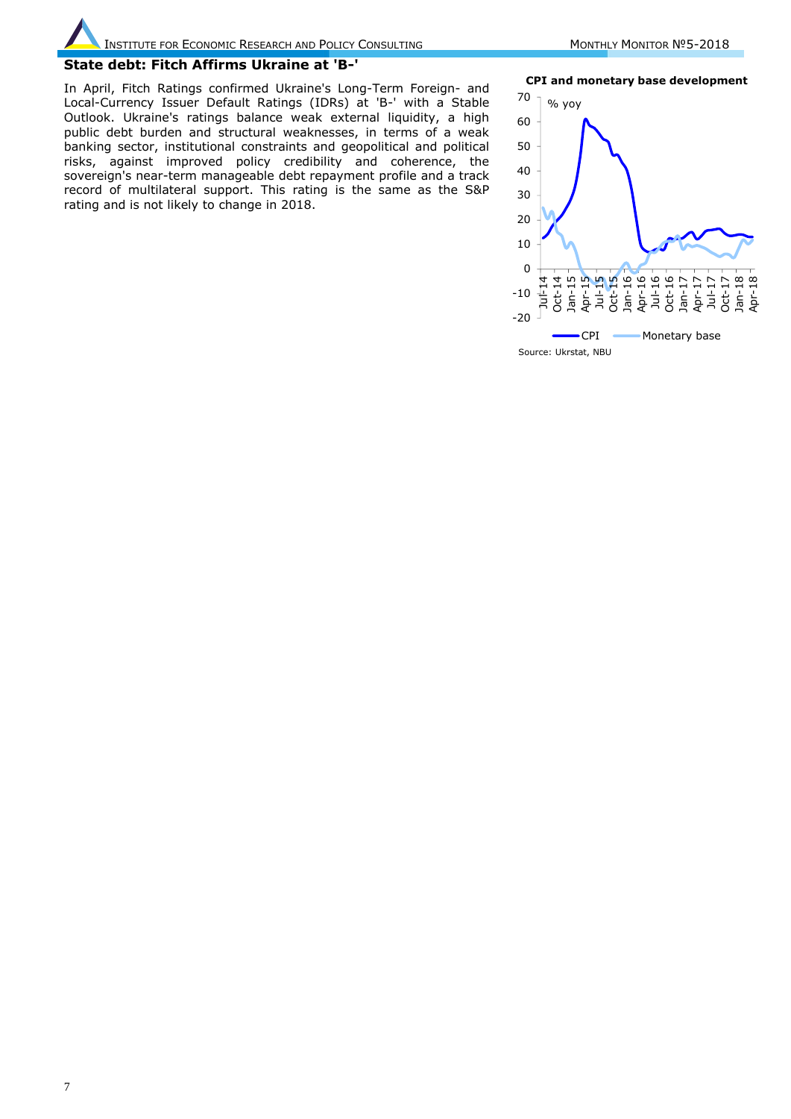Institute for Economic Research and Policy Consulting Monthly Monthly Monitor Nº5-2018

# **State debt: Fitch Affirms Ukraine at 'B-'**

In April, Fitch Ratings confirmed Ukraine's Long-Term Foreign- and Local-Currency Issuer Default Ratings (IDRs) at 'B-' with a Stable Outlook. Ukraine's ratings balance weak external liquidity, a high public debt burden and structural weaknesses, in terms of a weak banking sector, institutional constraints and geopolitical and political risks, against improved policy credibility and coherence, the sovereign's near-term manageable debt repayment profile and a track record of multilateral support. This rating is the same as the S&P rating and is not likely to change in 2018.

**CPI and monetary base development**

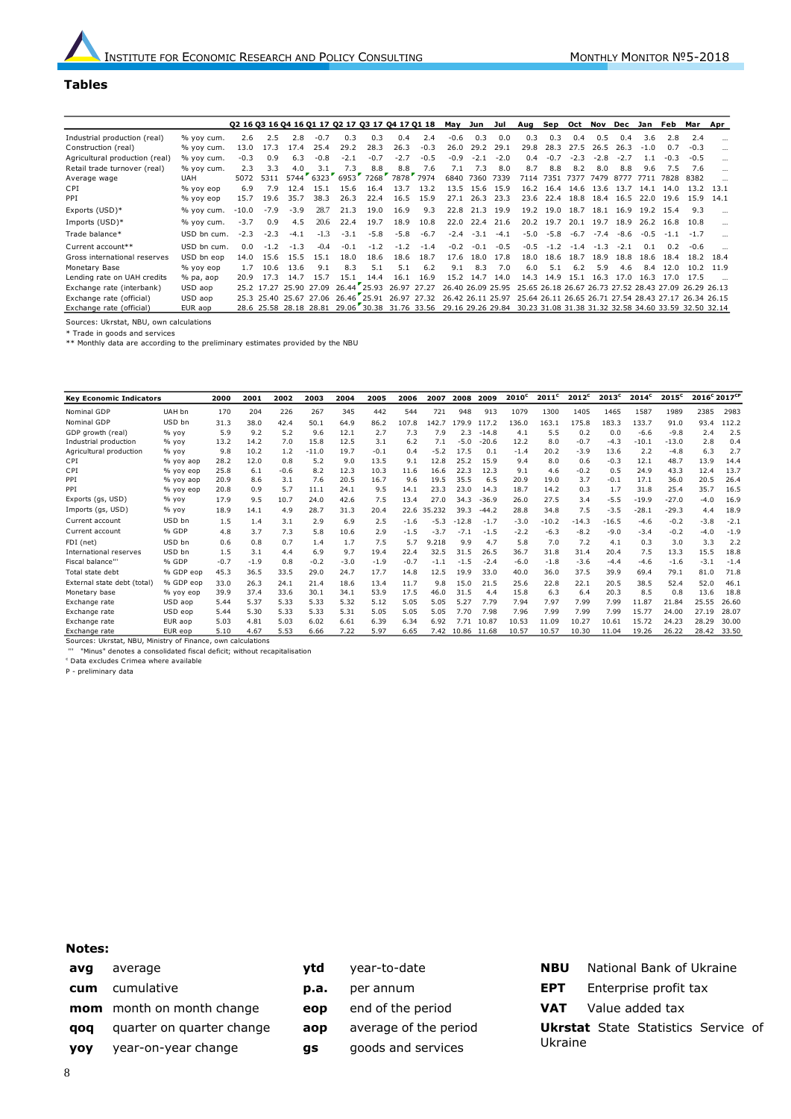#### **Tables**

|                                |             |         |            |        | 02 16 03 16 04 16 01 17 02 17 03 17 04 17 01 18 |             |                     |             |             | May               | Jun    | Jul               | Aug Sep                                   |        |        | Oct Nov Dec |        |        |        | Jan Feb Mar Apr                                       |      |
|--------------------------------|-------------|---------|------------|--------|-------------------------------------------------|-------------|---------------------|-------------|-------------|-------------------|--------|-------------------|-------------------------------------------|--------|--------|-------------|--------|--------|--------|-------------------------------------------------------|------|
| Industrial production (real)   | % yoy cum.  | 2.6     | 2.5        | 2.8    | $-0.7$                                          | 0.3         | 0.3                 | 0.4         | 2.4         | $-0.6$            | 0.3    | 0.0               | 0.3                                       | 0.3    | 0.4    | 0.5         | 0.4    | 3.6    | 2.8    | 2.4                                                   |      |
| Construction (real)            | % yoy cum.  | 13.0    | 17.3       | 17.4   | 25.4                                            | 29.2        | 28.3                | 26.3        | $-0.3$      | 26.0              | 29.2   | 29.1              | 29.8                                      | 28.3   | 27.5   | 26.5        | 26.3   | $-1.0$ | 0.7    | $-0.3$                                                |      |
| Agricultural production (real) | % yoy cum.  | $-0.3$  | 0.9        | 6.3    | $-0.8$                                          | $-2.1$      | $-0.7$              | $-2.7$      | $-0.5$      | $-0.9$            | $-2.1$ | $-2.0$            | 0.4                                       | $-0.7$ | $-2.3$ | $-2.8$      | $-2.7$ | 1.1    | $-0.3$ | $-0.5$                                                |      |
| Retail trade turnover (real)   | % yoy cum.  | 2.3     | 3.3        | 4.0    | 3.1                                             | 7.3         | 8.8                 | 8.8         | 7.6         | 7.1               | 7.3    | 8.0               | 8.7                                       | 8.8    | 8.2    | 8.0         | 8.8    | 9.6    | 7.5    | 7.6                                                   |      |
| Average wage                   | <b>UAH</b>  | 5072    | 5311       |        | $5744$ 6323                                     |             | 6953 7268 7878 7974 |             |             | 6840              | 7360   | 7339              | 7114                                      | 7351   | 7377   | 7479        | 8777   | 7711   | 7828   | 8382                                                  |      |
| CPI                            | % yoy eop   | 6.9     | 7.9        | 12.4   | 15.1                                            | 15.6        | 16.4                | 13.7        | 13.2        | 13.5              | 15.6   | 15.9              | 16.2                                      | 16.4   | 14.6   | 13.6        | 13.7   | 14 1   | 14.0   | 132                                                   | 13.1 |
| PPI                            | % yoy eop   | 15.7    | 19.6       | 35.7   | 38.3                                            | 26.3        | 22.4                | 16.5        | 15.9        | 27.1              | 26.3   | 23.3              | 23.6                                      | 22.4   | 18.8   | 18.4        | 16.5   | 22.0   | 19.6   | 15.9                                                  | 14.1 |
| Exports (USD)*                 | % yoy cum.  | $-10.0$ | $-7.9$     | $-3.9$ | 28.7                                            | 21.3        | 19.0                | 16.9        | 9.3         | 22.8              | 21.3   | 19.9              | 19.2                                      | 19.0   | 18.7   | 18.1        | 16.9   | 19.2   | 15.4   | 9.3                                                   |      |
| Imports (USD)*                 | % yoy cum.  | $-3.7$  | 0.9        | 4.5    | 20.6                                            | 22.4        | 19.7                | 18.9        | 10.8        | 22.0              | 22.4   | 21.6              | 20.2                                      | 19.7   | 20.1   | 19.7        | 18.9   | 26.2   | 16.8   | 10.8                                                  |      |
| Trade balance*                 | USD bn cum. | $-2.3$  | $-2.3$     | $-4.1$ | $-1.3$                                          | $-3.1$      | $-5.8$              | $-5.8$      | $-6.7$      | $-2.4$            | $-3.1$ | $-4.1$            | $-5.0$                                    | $-5.8$ | $-6.7$ | $-7.4$      | -8.6   | $-0.5$ | $-1.1$ | $-1.7$                                                |      |
| Current account**              | USD bn cum. | 0.0     | $-1.2$     | $-1.3$ | $-0.4$                                          | $-0.1$      | $-1.2$              | $-1.2$      | $-1.4$      | $-0.2$            | $-0.1$ | $-0.5$            | $-0.5$                                    | $-1.2$ | $-1.4$ | $-1.3$      | $-2.1$ | 0.1    | 0.2    | $-0.6$                                                |      |
| Gross international reserves   | USD bn eop  | 14.0    | 15.6       | 15.5   | 15.1                                            | 18.0        | 18.6                | 18.6        | 18.7        | 17.6              | 18.0   | 17.8              | 18.0                                      | 18.6   | 18.7   | 18.9        | 18.8   | 18.6   | 18.4   | 18.2                                                  | 18.4 |
| Monetary Base                  | % yoy eop   | 1.7     | 10.6       | 13.6   | 9.1                                             | 8.3         | 5.1                 | 5.1         | 6.2         | 9.1               | 8.3    | 7.0               | 6.0                                       | 5.1    | 6.2    | 5.9         | 4.6    | 8.4    | 12.0   | 10.2                                                  | 11.9 |
| Lending rate on UAH credits    | % pa, aop   | 20.9    | 173        | 14.7   | 15.7                                            | 15.1        | 14.4                | 16.1        | 16.9        | 15.2              | 14.7   | 14.0              | 14.3                                      | 14.9   | 15.1   | 16.3        | 17.0   | 16.3   | 17.0   | 17.5                                                  |      |
| Exchange rate (interbank)      | USD aop     |         | 77         | 25.90  | 27.09                                           | 26.44 25.93 |                     | 26.97       | 27.27       |                   |        | 26.40 26.09 25.95 | 25.65 26.18 26.67 26.73 27.52 28.43 27.09 |        |        |             |        |        |        | 26.29 26.13                                           |      |
| Exchange rate (official)       | USD aop     |         |            |        | 25.3 25.40 25.67 27.06                          | 26.46 25.91 |                     | 26.97 27.32 |             | 26.42 26.11 25.97 |        |                   |                                           |        |        |             |        |        |        | 25.64 26.11 26.65 26.71 27.54 28.43 27.17 26.34 26.15 |      |
| Exchange rate (official)       | EUR aop     |         | 28.6 25.58 |        | 28.18 28.81                                     | 29.06 30.38 |                     |             | 31.76 33.56 |                   |        | 29.16 29.26 29.84 |                                           |        |        |             |        |        |        | 30.23 31.08 31.38 31.32 32.58 34.60 33.59 32.50 32.14 |      |

Sources: Ukrstat, NBU, own calculations

\* Trade in goods and services

\*\* Monthly data are according to the preliminary estimates provided by the NBU

| <b>Key Economic Indicators</b>                               |           | 2000   | 2001   | 2002   | 2003    | 2004   | 2005   | 2006   | 2007   | 2008    | 2009    | $2010^{\circ}$ | $2011$ <sup>c</sup> | $2012^c$ | 2013 <sup>c</sup> | $2014^c$ | $2015^{\circ}$ | 2016 <sup>c</sup> 2017 <sup>cP</sup> |        |
|--------------------------------------------------------------|-----------|--------|--------|--------|---------|--------|--------|--------|--------|---------|---------|----------------|---------------------|----------|-------------------|----------|----------------|--------------------------------------|--------|
| Nominal GDP                                                  | UAH bn    | 170    | 204    | 226    | 267     | 345    | 442    | 544    | 721    | 948     | 913     | 1079           | 1300                | 1405     | 1465              | 1587     | 1989           | 2385                                 | 2983   |
| Nominal GDP                                                  | USD bn    | 31.3   | 38.0   | 42.4   | 50.1    | 64.9   | 86.2   | 107.8  | 142.7  | 179.9   | 117.2   | 136.0          | 163.1               | 175.8    | 183.3             | 133.7    | 91.0           | 93.4                                 | 112.2  |
| GDP growth (real)                                            | $%$ yoy   | 5.9    | 9.2    | 5.2    | 9.6     | 12.1   | 2.7    | 7.3    | 7.9    | 2.3     | $-14.8$ | 4.1            | 5.5                 | 0.2      | 0.0               | $-6.6$   | $-9.8$         | 2.4                                  | 2.5    |
| Industrial production                                        | $%$ yoy   | 13.2   | 14.2   | 7.0    | 15.8    | 12.5   | 3.1    | 6.2    | 7.1    | $-5.0$  | $-20.6$ | 12.2           | 8.0                 | $-0.7$   | $-4.3$            | $-10.1$  | $-13.0$        | 2.8                                  | 0.4    |
| Agricultural production                                      | $%$ yoy   | 9.8    | 10.2   | 1.2    | $-11.0$ | 19.7   | $-0.1$ | 0.4    | $-5.2$ | 17.5    | 0.1     | $-1.4$         | 20.2                | $-3.9$   | 13.6              | 2.2      | $-4.8$         | 6.3                                  | 2.7    |
| CPI                                                          | % yoy aop | 28.2   | 12.0   | 0.8    | 5.2     | 9.0    | 13.5   | 9.1    | 12.8   | 25.2    | 15.9    | 9.4            | 8.0                 | 0.6      | $-0.3$            | 12.1     | 48.7           | 13.9                                 | 14.4   |
| CPI                                                          | % yoy eop | 25.8   | 6.1    | $-0.6$ | 8.2     | 12.3   | 10.3   | 11.6   | 16.6   | 22.3    | 12.3    | 9.1            | 4.6                 | $-0.2$   | 0.5               | 24.9     | 43.3           | 12.4                                 | 13.7   |
| PPI                                                          | % yoy aop | 20.9   | 8.6    | 3.1    | 7.6     | 20.5   | 16.7   | 9.6    | 19.5   | 35.5    | 6.5     | 20.9           | 19.0                | 3.7      | $-0.1$            | 17.1     | 36.0           | 20.5                                 | 26.4   |
| PPT                                                          | % yoy eop | 20.8   | 0.9    | 5.7    | 11.1    | 24.1   | 9.5    | 14.1   | 23.3   | 23.0    | 14.3    | 18.7           | 14.2                | 0.3      | 1.7               | 31.8     | 25.4           | 35.7                                 | 16.5   |
| Exports (gs, USD)                                            | $%$ yoy   | 17.9   | 9.5    | 10.7   | 24.0    | 42.6   | 7.5    | 13.4   | 27.0   | 34.3    | $-36.9$ | 26.0           | 27.5                | 3.4      | $-5.5$            | $-19.9$  | $-27.0$        | $-4.0$                               | 16.9   |
| Imports (gs, USD)                                            | % уоу     | 18.9   | 14.1   | 4.9    | 28.7    | 31.3   | 20.4   | 22.6   | 35.232 | 39.3    | $-44.2$ | 28.8           | 34.8                | 7.5      | $-3.5$            | $-28.1$  | $-29.3$        | 4.4                                  | 18.9   |
| Current account                                              | USD bn    | 1.5    | 1.4    | 3.1    | 2.9     | 6.9    | 2.5    | $-1.6$ | $-5.3$ | $-12.8$ | $-1.7$  | $-3.0$         | $-10.2$             | $-14.3$  | $-16.5$           | $-4.6$   | $-0.2$         | $-3.8$                               | $-2.1$ |
| Current account                                              | % GDP     | 4.8    | 3.7    | 7.3    | 5.8     | 10.6   | 2.9    | $-1.5$ | $-3.7$ | $-7.1$  | $-1.5$  | $-2.2$         | $-6.3$              | $-8.2$   | $-9.0$            | $-3.4$   | $-0.2$         | $-4.0$                               | $-1.9$ |
| FDI (net)                                                    | USD bn    | 0.6    | 0.8    | 0.7    | 1.4     | 1.7    | 7.5    | 5.7    | 9.218  | 9.9     | 4.7     | 5.8            | 7.0                 | 7.2      | 4.1               | 0.3      | 3.0            | 3.3                                  | 2.2    |
| International reserves                                       | USD bn    | 1.5    | 3.1    | 4.4    | 6.9     | 9.7    | 19.4   | 22.4   | 32.5   | 31.5    | 26.5    | 36.7           | 31.8                | 31.4     | 20.4              | 7.5      | 13.3           | 15.5                                 | 18.8   |
| Fiscal balance""                                             | % GDP     | $-0.7$ | $-1.9$ | 0.8    | $-0.2$  | $-3.0$ | $-1.9$ | $-0.7$ | $-1.1$ | $-1.5$  | $-2.4$  | $-6.0$         | $-1.8$              | $-3.6$   | $-4.4$            | $-4.6$   | $-1.6$         | $-3.1$                               | $-1.4$ |
| Total state debt                                             | % GDP eop | 45.3   | 36.5   | 33.5   | 29.0    | 24.7   | 17.7   | 14.8   | 12.5   | 19.9    | 33.0    | 40.0           | 36.0                | 37.5     | 39.9              | 69.4     | 79.1           | 81.0                                 | 71.8   |
| External state debt (total)                                  | % GDP eop | 33.0   | 26.3   | 24.1   | 21.4    | 18.6   | 13.4   | 11.7   | 9.8    | 15.0    | 21.5    | 25.6           | 22.8                | 22.1     | 20.5              | 38.5     | 52.4           | 52.0                                 | 46.1   |
| Monetary base                                                | % yoy eop | 39.9   | 37.4   | 33.6   | 30.1    | 34.1   | 53.9   | 17.5   | 46.0   | 31.5    | 4.4     | 15.8           | 6.3                 | 6.4      | 20.3              | 8.5      | 0.8            | 13.6                                 | 18.8   |
| Exchange rate                                                | USD aop   | 5.44   | 5.37   | 5.33   | 5.33    | 5.32   | 5.12   | 5.05   | 5.05   | 5.27    | 7.79    | 7.94           | 7.97                | 7.99     | 7.99              | 11.87    | 21.84          | 25.55                                | 26.60  |
| Exchange rate                                                | USD eop   | 5.44   | 5.30   | 5.33   | 5.33    | 5.31   | 5.05   | 5.05   | 5.05   | 7.70    | 7.98    | 7.96           | 7.99                | 7.99     | 7.99              | 15.77    | 24.00          | 27.19                                | 28.07  |
| Exchange rate                                                | EUR aop   | 5.03   | 4.81   | 5.03   | 6.02    | 6.61   | 6.39   | 6.34   | 6.92   | 7.71    | 10.87   | 10.53          | 11.09               | 10.27    | 10.61             | 15.72    | 24.23          | 28.29                                | 30.00  |
| Exchange rate                                                | EUR eop   | 5.10   | 4.67   | 5.53   | 6.66    | 7.22   | 5.97   | 6.65   | 7.42   | 10.86   | 11.68   | 10.57          | 10.57               | 10.30    | 11.04             | 19.26    | 26.22          | 28.42                                | 33.50  |
| Sources: Ukrstat, NBU, Ministry of Finance, own calculations |           |        |        |        |         |        |        |        |        |         |         |                |                     |          |                   |          |                |                                      |        |

Sources: Ukrstat, NBU, Ministry of Finance, own calculations ''' "Minus" denotes a consolidated fiscal deficit; without recapitalisation

<sup>c</sup> Data excludes Crimea where available

P - preliminary data

#### **Notes:**

- **avg** average **cum** cumulative **mom** month on month change **qoq** quarter on quarter change **yoy** year-on-year change
- **eop** end of the period **aop** average of the period
- **p.a.** per annum
	-

**ytd** year-to-date

- 
- **gs** goods and services
- **NBU** National Bank of Ukraine **EPT** Enterprise profit tax **VAT** Value added tax **Ukrstat** State Statistics Service of Ukraine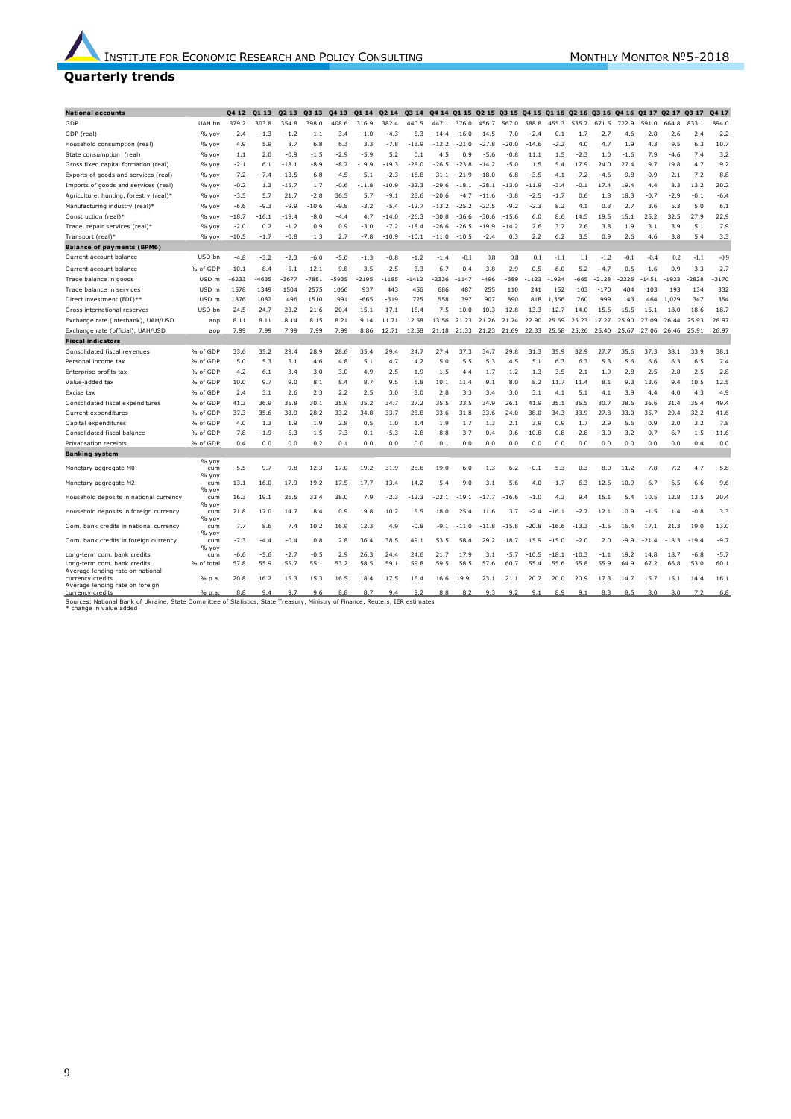#### **Quarterly trends**

| <b>National accounts</b>                                                                                                                                 |                  | 04 12   | 01 13   | 02 13   | Q3 13   | 04 13  | 01 14   | Q2 14   | Q3 14   | 04 14 01 15 |         | Q <sub>2</sub> 15 |         | Q3 15 Q4 15 | Q1 16   | Q <sub>2</sub> 16 | Q3 16     | Q4 16 Q1 17 |         | Q <sub>2</sub> 17 | Q3 17   | 04 17   |
|----------------------------------------------------------------------------------------------------------------------------------------------------------|------------------|---------|---------|---------|---------|--------|---------|---------|---------|-------------|---------|-------------------|---------|-------------|---------|-------------------|-----------|-------------|---------|-------------------|---------|---------|
| GDP                                                                                                                                                      | UAH bn           | 379.2   | 303.8   | 354.8   | 398.0   | 408.6  | 316.9   | 382.4   | 440.5   | 447.1       | 376.0   | 456.7             | 567.0   | 588.8       | 455.3   | 535.7             | 671<br>.5 | 722.9       | 591.0   | 664.8             | 833.1   | 894.0   |
| GDP (real)                                                                                                                                               | % yoy            | $-2.4$  | $-1.3$  | $-1.2$  | $-1.1$  | 3.4    | $-1.0$  | $-4.3$  | $-5.3$  | $-14.4$     | $-16.0$ | $-14.5$           | $-7.0$  | $-2.4$      | 0.1     | 1.7               | 2.7       | 4.6         | 2.8     | 2.6               | 2.4     | 2.2     |
| Household consumption (real)                                                                                                                             | % уоу            | 4.9     | 5.9     | 8.7     | 6.8     | 6.3    | 3.3     | $-7.8$  | $-13.9$ | $-12.2$     | $-21.0$ | $-27.8$           | $-20.0$ | $-14.6$     | $-2.2$  | 4.0               | 4.7       | 1.9         | 4.3     | 9.5               | 6.3     | 10.7    |
| State consumption (real)                                                                                                                                 | % yoy            | 1.1     | 2.0     | $-0.9$  | $-1.5$  | $-2.9$ | $-5.9$  | 5.2     | 0.1     | 4.5         | 0.9     | $-5.6$            | $-0.8$  | 11.1        | 1.5     | $-2.3$            | 1.0       | $-1.6$      | 7.9     | $-4.6$            | 7.4     | 3.2     |
| Gross fixed capital formation (real)                                                                                                                     | % уоу            | $-2.1$  | 6.1     | $-18.1$ | $-8.9$  | $-8.7$ | $-19.9$ | $-19.3$ | $-28.0$ | $-26.5$     | $-23.8$ | $-14.2$           | $-5.0$  | 1.5         | 5.4     | 17.9              | 24.0      | 27.4        | 9.7     | 19.8              | 4.7     | 9.2     |
| Exports of goods and services (real)                                                                                                                     | % yoy            | $-7.2$  | $-7.4$  | $-13.5$ | $-6.8$  | $-4.5$ | $-5.1$  | $-2.3$  | $-16.8$ | $-31.1$     | $-21.9$ | $-18.0$           | $-6.8$  | $-3.5$      | $-4.1$  | $-7.2$            | $-4.6$    | 9.8         | $-0.9$  | $-2.1$            | 7.2     | 8.8     |
| Imports of goods and services (real)                                                                                                                     | % уоу            | $-0.2$  | 1.3     | $-15.7$ | 1.7     | $-0.6$ | $-11.8$ | $-10.9$ | $-32.3$ | $-29.6$     | $-18.1$ | $-28.1$           | $-13.0$ | $-11.9$     | $-3.4$  | $-0.1$            | 17.4      | 19.4        | 4.4     | 8.3               | 13.2    | 20.2    |
| Agriculture, hunting, forestry (real)*                                                                                                                   | % yoy            | $-3.5$  | 5.7     | 21.7    | $-2.8$  | 36.5   | 5.7     | $-9.1$  | 25.6    | $-20.6$     | $-4.7$  | $-11.6$           | $-3.8$  | $-2.5$      | $-1.7$  | 0.6               | 1.8       | 18.3        | $-0.7$  | $-2.9$            | $-0.1$  | $-6.4$  |
| Manufacturing industry (real)*                                                                                                                           | % уоу            | $-6.6$  | $-9.3$  | $-9.9$  | $-10.6$ | $-9.8$ | $-3.2$  | $-5.4$  | $-12.7$ | $-13.2$     | $-25.2$ | $-22.5$           | $-9.2$  | $-2.3$      | 8.2     | 4.1               | 0.3       | 2.7         | 3.6     | 5.3               | 5.0     | 6.1     |
| Construction (real)*                                                                                                                                     | % yoy            | $-18.7$ | $-16.1$ | $-19.4$ | $-8.0$  | $-4.4$ | 4.7     | $-14.0$ | $-26.3$ | $-30.8$     | $-36.6$ | $-30.6$           | $-15.6$ | 6.0         | 8.6     | 14.5              | 19.5      | 15.1        | 25.2    | 32.5              | 27.9    | 22.9    |
| Trade, repair services (real)*                                                                                                                           | % уоу            | $-2.0$  | 0.2     | $-1.2$  | 0.9     | 0.9    | $-3.0$  | $-7.2$  | $-18.4$ | $-26.6$     | -26.5   | $-19.9$           | $-14.2$ | 2.6         | 3.7     | 7.6               | 3.8       | 1.9         | 3.1     | 3.9               | 5.1     | 7.9     |
| Transport (real)*                                                                                                                                        | % yoy            | $-10.5$ | $-1.7$  | $-0.8$  | 1.3     | 2.7    | $-7.8$  | $-10.9$ | $-10.1$ | $-11.0$     | $-10.5$ | $-2.4$            | 0.3     | 2.2         | 6.2     | 3.5               | 0.9       | 2.6         | 4.6     | 3.8               | 5.4     | 3.3     |
| <b>Balance of payments (BPM6)</b>                                                                                                                        |                  |         |         |         |         |        |         |         |         |             |         |                   |         |             |         |                   |           |             |         |                   |         |         |
| Current account balance                                                                                                                                  | USD bn           | $-4.8$  | $-3.2$  | $-2.3$  | $-6.0$  | $-5.0$ | $-1.3$  | $-0.8$  | $-1.2$  | $-1.4$      | $-0.1$  | 0.8               | 0.8     | 0.1         | $-1.1$  | 1.1               | $-1.2$    | $-0.1$      | $-0.4$  | 0.2               | $-1.1$  | $-0.9$  |
| Current account balance                                                                                                                                  | % of GDP         | $-10.1$ | $-8.4$  | $-5.1$  | $-12.1$ | $-9.8$ | $-3.5$  | $-2.5$  | $-3.3$  | $-6.7$      | $-0.4$  | 3.8               | 2.9     | 0.5         | $-6.0$  | 5.2               | $-4.7$    | $-0.5$      | $-1.6$  | 0.9               | $-3.3$  | $-2.7$  |
| Trade balance in goods                                                                                                                                   | USD <sub>m</sub> | $-6233$ | $-4635$ | $-3677$ | $-7881$ | -5935  | $-2195$ | $-1185$ | $-1412$ | $-2336$     | $-1147$ | -496              | -689    | $-1123$     | $-1924$ | -665              | $-2128$   | $-2225$     | -1451   | $-1923$           | $-2828$ | $-3170$ |
| Trade balance in services                                                                                                                                | USD <sub>m</sub> | 1578    | 1349    | 1504    | 2575    | 1066   | 937     | 443     | 456     | 686         | 487     | 255               | 110     | 241         | 152     | 103               | $-170$    | 404         | 103     | 193               | 134     | 332     |
| Direct investment (FDI)**                                                                                                                                | USD <sub>m</sub> | 1876    | 1082    | 496     | 1510    | 991    | $-665$  | $-319$  | 725     | 558         | 397     | 907               | 890     | 818         | 1,366   | 760               | 999       | 143         | 464     | 1,029             | 347     | 354     |
| Gross international reserves                                                                                                                             | USD bn           | 24.5    | 24.7    | 23.2    | 21.6    | 20.4   | 15.1    | 17.1    | 16.4    | 7.5         | 10.0    | 10.3              | 12.8    | 13.3        | 12.7    | 14.0              | 15.6      | 15.5        | 15.1    | 18.0              | 18.6    | 18.7    |
| Exchange rate (interbank), UAH/USD                                                                                                                       | aop              | 8.11    | 8.11    | 8.14    | 8.15    | 8.21   | 9.14    | 11.71   | 12.58   | 13.56       | 21.23   | 21.26             | 21.74   | 22.90       | 25.69   | 25.23             | 17.27     | 25.90       | 27.09   | 26.44             | 25.93   | 26.97   |
| Exchange rate (official), UAH/USD                                                                                                                        | aop              | 7.99    | 7.99    | 7.99    | 7.99    | 7.99   | 8.86    | 12.71   | 12.58   | 21.18       | 21.33   | 21.23             | 21.69   | 22.33       | 25.68   | 25.26             | 25.40     | 25.67       | 27.06   | 26.46             | 25.91   | 26.97   |
| <b>Fiscal indicators</b>                                                                                                                                 |                  |         |         |         |         |        |         |         |         |             |         |                   |         |             |         |                   |           |             |         |                   |         |         |
| Consolidated fiscal revenues                                                                                                                             | % of GDP         | 33.6    | 35.2    | 29.4    | 28.9    | 28.6   | 35.4    | 29.4    | 24.7    | 27.4        | 37.3    | 34.7              | 29.8    | 31.3        | 35.9    | 32.9              | 27.7      | 35.6        | 37.3    | 38.1              | 33.9    | 38.1    |
| Personal income tax                                                                                                                                      | % of GDP         | 5.0     | 5.3     | 5.1     | 4.6     | 4.8    | 5.1     | 4.7     | 4.2     | 5.0         | 5.5     | 5.3               | 4.5     | 5.1         | 6.3     | 6.3               | 5.3       | 5.6         | 6.6     | 6.3               | 6.5     | 7.4     |
| Enterprise profits tax                                                                                                                                   | % of GDP         | 4.2     | 6.1     | 3.4     | 3.0     | 3.0    | 4.9     | 2.5     | 1.9     | 1.5         | 4.4     | 1.7               | 1.2     | 1.3         | 3.5     | 2.1               | 1.9       | 2.8         | 2.5     | 2.8               | 2.5     | 2.8     |
| Value-added tax                                                                                                                                          | % of GDP         | 10.0    | 9.7     | 9.0     | 8.1     | 8.4    | 8.7     | 9.5     | 6.8     | 10.1        | 11.4    | 9.1               | 8.0     | 8.2         | 11.7    | 11.4              | 8.1       | 9.3         | 13.6    | 9.4               | 10.5    | 12.5    |
| Excise tax                                                                                                                                               | % of GDP         | 2.4     | 3.1     | 2.6     | 2.3     | 2.2    | 2.5     | 3.0     | 3.0     | 2.8         | 3.3     | 3.4               | 3.0     | 3.1         | 4.1     | 5.1               | 4.1       | 3.9         | 4.4     | 4.0               | 4.3     | 4.9     |
| Consolidated fiscal expenditures                                                                                                                         | % of GDP         | 41.3    | 36.9    | 35.8    | 30.1    | 35.9   | 35.2    | 34.7    | 27.2    | 35.5        | 33.5    | 34.9              | 26.1    | 41.9        | 35.1    | 35.5              | 30.7      | 38.6        | 36.6    | 31.4              | 35.4    | 49.4    |
| Current expenditures                                                                                                                                     | % of GDP         | 37.3    | 35.6    | 33.9    | 28.2    | 33.2   | 34.8    | 33.7    | 25.8    | 33.6        | 31.8    | 33.6              | 24.0    | 38.0        | 34.3    | 33.9              | 27.8      | 33.0        | 35.7    | 29.4              | 32.2    | 41.6    |
| Capital expenditures                                                                                                                                     | % of GDP         | 4.0     | 1.3     | 1.9     | 1.9     | 2.8    | 0.5     | 1.0     | 1.4     | 1.9         | 1.7     | 1.3               | 2.1     | 3.9         | 0.9     | 1.7               | 2.9       | 5.6         | 0.9     | 2.0               | 3.2     | 7.8     |
| Consolidated fiscal balance                                                                                                                              | % of GDP         | -7.8    | $-1.9$  | -6.3    | $-1.5$  | -7.3   | 0.1     | -5.3    | $-2.8$  | $-8.8$      | $-3.7$  | $-0.4$            | 3.6     | $-10.8$     | 0.8     | $-2.8$            | $-3.0$    | $-3.2$      | 0.7     | 6.7               | $-1.5$  | $-11.6$ |
| Privatisation receipts                                                                                                                                   | % of GDP         | 0.4     | 0.0     | 0.0     | 0.2     | 0.1    | 0.0     | 0.0     | 0.0     | 0.1         | 0.0     | 0.0               | 0.0     | 0.0         | 0.0     | 0.0               | 0.0       | 0.0         | 0.0     | 0.0               | 0.4     | 0.0     |
| <b>Banking system</b>                                                                                                                                    |                  |         |         |         |         |        |         |         |         |             |         |                   |         |             |         |                   |           |             |         |                   |         |         |
|                                                                                                                                                          | % yoy            |         |         |         |         |        |         |         |         |             |         |                   |         |             |         |                   |           |             |         |                   |         |         |
| Monetary aggregate M0                                                                                                                                    | cum<br>% yoy     | 5.5     | 9.7     | 9.8     | 12.3    | 17.0   | 19.2    | 31.9    | 28.8    | 19.0        | 6.0     | $-1.3$            | -6.2    | $-0.1$      | $-5.3$  | 0.3               | 8.0       | 11.2        | 7.8     | 7.2               | 4.7     | 5.8     |
| Monetary aggregate M2                                                                                                                                    | $c$ um           | 13.1    | 16.0    | 17.9    | 19.2    | 17.5   | 17.7    | 13.4    | 14.2    | 5.4         | 9.0     | 3.1               | 5.6     | 4.0         | $-1.7$  | 6.3               | 12.6      | 10.9        | 6.7     | 6.5               | 6.6     | 9.6     |
| Household deposits in national currency                                                                                                                  | % yoy<br>cum     | 16.3    | 19.1    | 26.5    | 33.4    | 38.0   | 7.9     | $-2.3$  | $-12.3$ | -22.1       | $-19.1$ | $-17.7$           | $-16.6$ | $-1.0$      | 4.3     | 9.4               | 15.1      | 5.4         | 10.5    | 12.8              | 13.5    | 20.4    |
|                                                                                                                                                          | % yoy            |         |         |         |         |        |         |         |         |             |         |                   |         |             |         |                   |           |             |         |                   |         |         |
| Household deposits in foreign currency                                                                                                                   | cum              | 21.8    | 17.0    | 14.7    | 8.4     | 0.9    | 19.8    | 10.2    | 5.5     | 18.0        | 25.4    | 11.6              | 3.7     | $-2.4$      | $-16.1$ | $-2.7$            | 12.1      | 10.9        | $-1.5$  | 1.4               | $-0.8$  | 3.3     |
| Com. bank credits in national currency                                                                                                                   | % yoy<br>cum     | 7.7     | 8.6     | 7.4     | 10.2    | 16.9   | 12.3    | 4.9     | $-0.8$  | $-9.1$      | $-11.0$ | $-11.8$           | $-15.8$ | $-20.8$     | $-16.6$ | $-13.3$           | $-1.5$    | 16.4        | 17.1    | 21.3              | 19.0    | 13.0    |
|                                                                                                                                                          | % yoy            |         |         |         |         |        |         |         |         |             |         |                   |         |             |         |                   |           |             |         |                   |         |         |
| Com. bank credits in foreign currency                                                                                                                    | cum<br>% yoy     | $-7.3$  | $-4.4$  | $-0.4$  | 0.8     | 2.8    | 36.4    | 38.5    | 49.1    | 53.5        | 58.4    | 29.2              | 18.7    | 15.9        | $-15.0$ | $-2.0$            | 2.0       | -9.9        | $-21.4$ | $-18.3$           | $-19.4$ | $-9.7$  |
| Long-term com. bank credits                                                                                                                              | cum              | $-6.6$  | $-5.6$  | $-2.7$  | $-0.5$  | 2.9    | 26.3    | 24.4    | 24.6    | 21.7        | 17.9    | 3.1               | $-5.7$  | $-10.5$     | $-18.1$ | $-10.3$           | $-1.1$    | 19.2        | 14.8    | 18.7              | $-6.8$  | $-5.7$  |
| Long-term com. bank credits                                                                                                                              | % of total       | 57.8    | 55.9    | 55.7    | 55.1    | 53.2   | 58.5    | 59.1    | 59.8    | 59.5        | 58.5    | 57.6              | 60.7    | 55.4        | 55.6    | 55.8              | 55.9      | 64.9        | 67.2    | 66.8              | 53.0    | 60.1    |
| Average lending rate on national<br>currency credits                                                                                                     | % p.a.           | 20.8    | 16.2    | 15.3    | 15.3    | 16.5   | 18.4    | 17.5    | 16.4    | 16.6        | 19.9    | 23.1              | 21.1    | 20.7        | 20.0    | 20.9              | 17.3      | 14.7        | 15.7    | 15.1              | 14.4    | 16.1    |
| Average lending rate on foreign                                                                                                                          |                  |         |         |         |         |        |         |         |         |             |         |                   |         |             |         |                   |           |             |         |                   |         |         |
| currency credits                                                                                                                                         | % p.a            | 8.8     | 9.4     | 9.7     | 9.6     | 8.8    | 8.7     | 9.4     | 9.2     | 8.8         | 8.2     | 9.3               | 9.2     | 9.1         | 8.9     | 9.1               | 8.3       | 8.5         | 8.0     | 8.0               | 7.2     | 6.8     |
| Sources: National Bank of Ukraine, State Committee of Statistics, State Treasury, Ministry of Finance, Reuters, IER estimates<br>* change in value added |                  |         |         |         |         |        |         |         |         |             |         |                   |         |             |         |                   |           |             |         |                   |         |         |